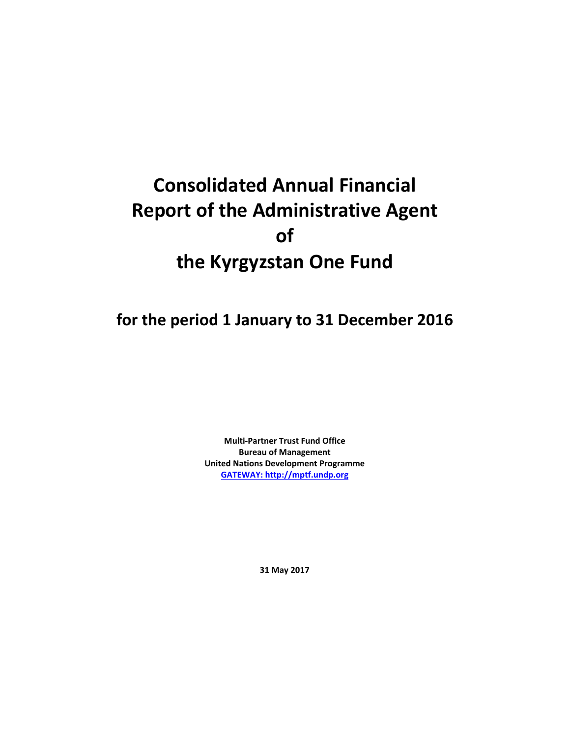# **Consolidated Annual Financial Report of the Administrative Agent of the Kyrgyzstan One Fund**

## **for the period 1 January to 31 December 2016**

**Multi-Partner Trust Fund Office Bureau of Management United Nations Development Programme [GATEWAY: http://mptf.undp.org](http://mptf.undp.org/)**

**31 May 2017**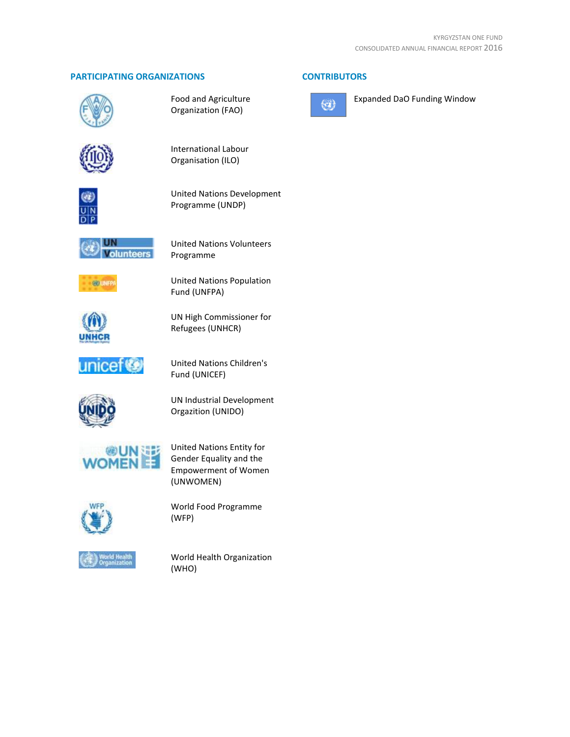#### **PARTICIPATING ORGANIZATIONS CONTRIBUTORS**



Food and Agriculture Organization (FAO)



International Labour Organisation (ILO)



United Nations Development Programme (UNDP)



United Nations Volunteers Programme



United Nations Population Fund (UNFPA)



UN High Commissioner for Refugees (UNHCR)



United Nations Children's Fund (UNICEF)



UN Industrial Development Orgazition (UNIDO)



United Nations Entity for Gender Equality and the Empowerment of Women (UNWOMEN)



World Food Programme (WFP)



World Health Organization (WHO)



Expanded DaO Funding Window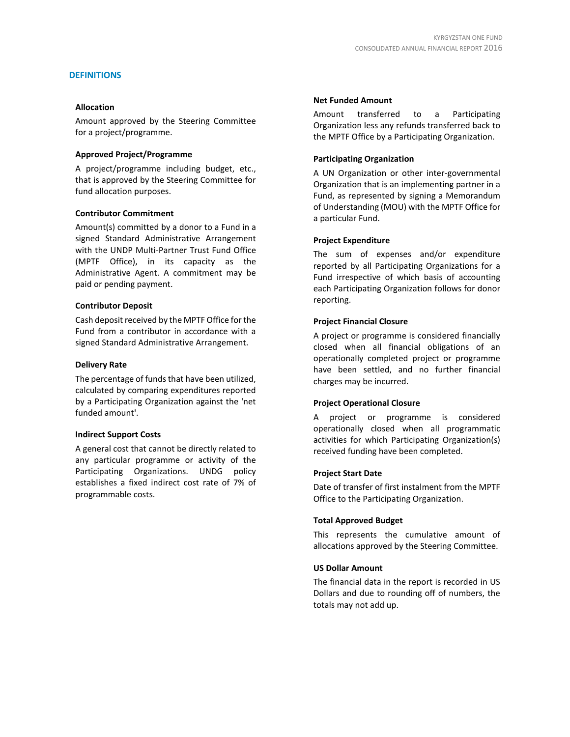#### **DEFINITIONS**

#### **Allocation**

Amount approved by the Steering Committee for a project/programme.

#### **Approved Project/Programme**

A project/programme including budget, etc., that is approved by the Steering Committee for fund allocation purposes.

#### **Contributor Commitment**

Amount(s) committed by a donor to a Fund in a signed Standard Administrative Arrangement with the UNDP Multi-Partner Trust Fund Office (MPTF Office), in its capacity as the Administrative Agent. A commitment may be paid or pending payment.

#### **Contributor Deposit**

Cash deposit received by the MPTF Office for the Fund from a contributor in accordance with a signed Standard Administrative Arrangement.

#### **Delivery Rate**

The percentage of funds that have been utilized, calculated by comparing expenditures reported by a Participating Organization against the 'net funded amount'.

#### **Indirect Support Costs**

A general cost that cannot be directly related to any particular programme or activity of the Participating Organizations. UNDG policy establishes a fixed indirect cost rate of 7% of programmable costs.

#### **Net Funded Amount**

Amount transferred to a Participating Organization less any refunds transferred back to the MPTF Office by a Participating Organization.

#### **Participating Organization**

A UN Organization or other inter-governmental Organization that is an implementing partner in a Fund, as represented by signing a Memorandum of Understanding (MOU) with the MPTF Office for a particular Fund.

#### **Project Expenditure**

The sum of expenses and/or expenditure reported by all Participating Organizations for a Fund irrespective of which basis of accounting each Participating Organization follows for donor reporting.

#### **Project Financial Closure**

A project or programme is considered financially closed when all financial obligations of an operationally completed project or programme have been settled, and no further financial charges may be incurred.

#### **Project Operational Closure**

A project or programme is considered operationally closed when all programmatic activities for which Participating Organization(s) received funding have been completed.

#### **Project Start Date**

Date of transfer of first instalment from the MPTF Office to the Participating Organization.

#### **Total Approved Budget**

This represents the cumulative amount of allocations approved by the Steering Committee.

#### **US Dollar Amount**

The financial data in the report is recorded in US Dollars and due to rounding off of numbers, the totals may not add up.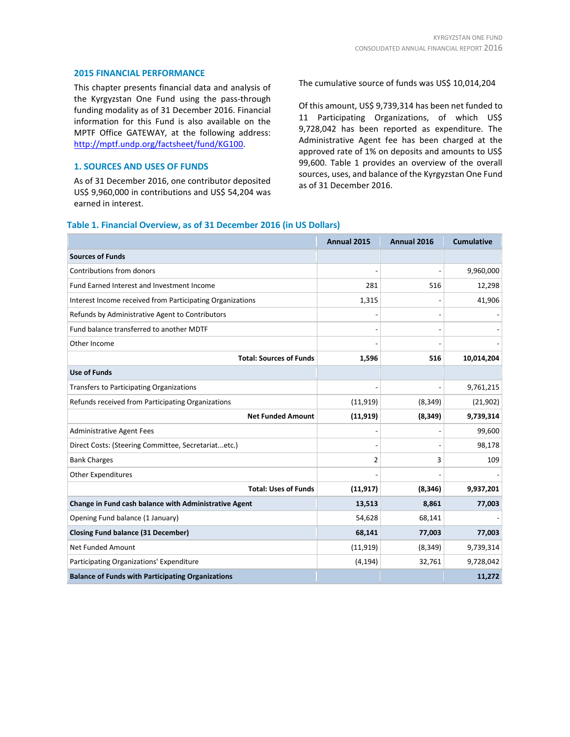#### **2015 FINANCIAL PERFORMANCE**

This chapter presents financial data and analysis of the Kyrgyzstan One Fund using the pass-through funding modality as of 31 December 2016. Financial information for this Fund is also available on the MPTF Office GATEWAY, at the following address: [http://mptf.undp.org/factsheet/fund/KG100.](http://mptf.undp.org/factsheet/fund/KG100) 

#### **1. SOURCES AND USES OF FUNDS**

As of 31 December 2016, one contributor deposited US\$ 9,960,000 in contributions and US\$ 54,204 was earned in interest.

#### The cumulative source of funds was US\$ 10,014,204

Of this amount, US\$ 9,739,314 has been net funded to 11 Participating Organizations, of which US\$ 9,728,042 has been reported as expenditure. The Administrative Agent fee has been charged at the approved rate of 1% on deposits and amounts to US\$ 99,600. Table 1 provides an overview of the overall sources, uses, and balance of the Kyrgyzstan One Fund as of 31 December 2016.

#### **Table 1. Financial Overview, as of 31 December 2016 (in US Dollars)**

|                                                           | Annual 2015 | Annual 2016 | <b>Cumulative</b> |
|-----------------------------------------------------------|-------------|-------------|-------------------|
| <b>Sources of Funds</b>                                   |             |             |                   |
| Contributions from donors                                 |             |             | 9,960,000         |
| Fund Earned Interest and Investment Income                | 281         | 516         | 12,298            |
| Interest Income received from Participating Organizations | 1,315       |             | 41,906            |
| Refunds by Administrative Agent to Contributors           |             |             |                   |
| Fund balance transferred to another MDTF                  |             |             |                   |
| Other Income                                              |             |             |                   |
| <b>Total: Sources of Funds</b>                            | 1,596       | 516         | 10,014,204        |
| <b>Use of Funds</b>                                       |             |             |                   |
| <b>Transfers to Participating Organizations</b>           |             |             | 9,761,215         |
| Refunds received from Participating Organizations         | (11, 919)   | (8, 349)    | (21, 902)         |
| <b>Net Funded Amount</b>                                  | (11, 919)   | (8, 349)    | 9,739,314         |
| <b>Administrative Agent Fees</b>                          |             |             | 99,600            |
| Direct Costs: (Steering Committee, Secretariatetc.)       |             |             | 98,178            |
| <b>Bank Charges</b>                                       | 2           | 3           | 109               |
| <b>Other Expenditures</b>                                 |             |             |                   |
| <b>Total: Uses of Funds</b>                               | (11, 917)   | (8, 346)    | 9,937,201         |
| Change in Fund cash balance with Administrative Agent     | 13,513      | 8,861       | 77,003            |
| Opening Fund balance (1 January)                          | 54,628      | 68,141      |                   |
| <b>Closing Fund balance (31 December)</b>                 | 68,141      | 77,003      | 77,003            |
| Net Funded Amount                                         | (11, 919)   | (8, 349)    | 9,739,314         |
| Participating Organizations' Expenditure                  | (4, 194)    | 32,761      | 9,728,042         |
| <b>Balance of Funds with Participating Organizations</b>  |             |             | 11,272            |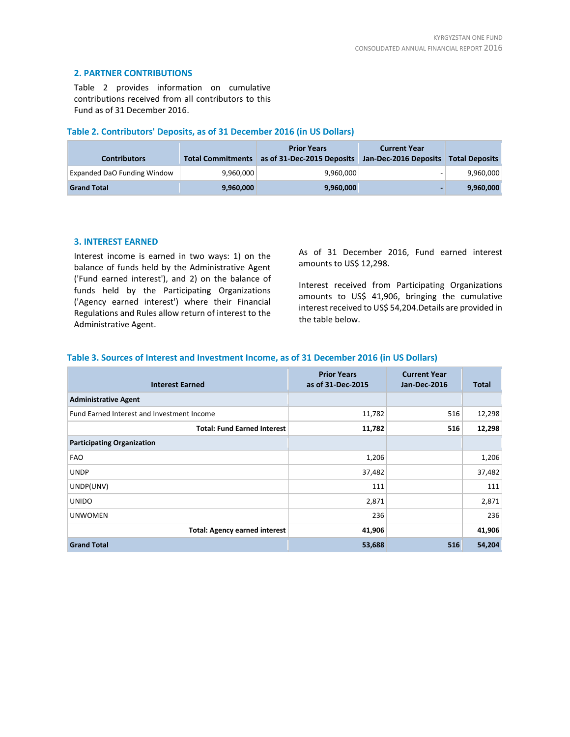#### **2. PARTNER CONTRIBUTIONS**

Table 2 provides information on cumulative contributions received from all contributors to this Fund as of 31 December 2016.

#### **Table 2. Contributors' Deposits, as of 31 December 2016 (in US Dollars)**

| <b>Contributors</b>                | <b>Total Commitments</b> | <b>Prior Years</b><br>as of 31-Dec-2015 Deposits | <b>Current Year</b><br>Jan-Dec-2016 Deposits | <b>Total Deposits</b> |
|------------------------------------|--------------------------|--------------------------------------------------|----------------------------------------------|-----------------------|
| <b>Expanded DaO Funding Window</b> | 9,960,000                | 9,960,000                                        |                                              | 9,960,000             |
| <b>Grand Total</b>                 | 9,960,000                | 9,960,000                                        |                                              | 9,960,000             |

#### **3. INTEREST EARNED**

Interest income is earned in two ways: 1) on the balance of funds held by the Administrative Agent ('Fund earned interest'), and 2) on the balance of funds held by the Participating Organizations ('Agency earned interest') where their Financial Regulations and Rules allow return of interest to the Administrative Agent.

As of 31 December 2016, Fund earned interest amounts to US\$ 12,298.

Interest received from Participating Organizations amounts to US\$ 41,906, bringing the cumulative interest received to US\$ 54,204.Details are provided in the table below.

#### **Table 3. Sources of Interest and Investment Income, as of 31 December 2016 (in US Dollars)**

| <b>Interest Earned</b>                     | <b>Prior Years</b><br>as of 31-Dec-2015 | <b>Current Year</b><br>Jan-Dec-2016 | Total  |
|--------------------------------------------|-----------------------------------------|-------------------------------------|--------|
| <b>Administrative Agent</b>                |                                         |                                     |        |
| Fund Earned Interest and Investment Income | 11,782                                  | 516                                 | 12,298 |
| <b>Total: Fund Earned Interest</b>         | 11,782                                  | 516                                 | 12,298 |
| <b>Participating Organization</b>          |                                         |                                     |        |
| <b>FAO</b>                                 | 1,206                                   |                                     | 1,206  |
| <b>UNDP</b>                                | 37,482                                  |                                     | 37,482 |
| UNDP(UNV)                                  | 111                                     |                                     | 111    |
| <b>UNIDO</b>                               | 2,871                                   |                                     | 2,871  |
| <b>UNWOMEN</b>                             | 236                                     |                                     | 236    |
| <b>Total: Agency earned interest</b>       | 41,906                                  |                                     | 41,906 |
| <b>Grand Total</b>                         | 53,688                                  | 516                                 | 54,204 |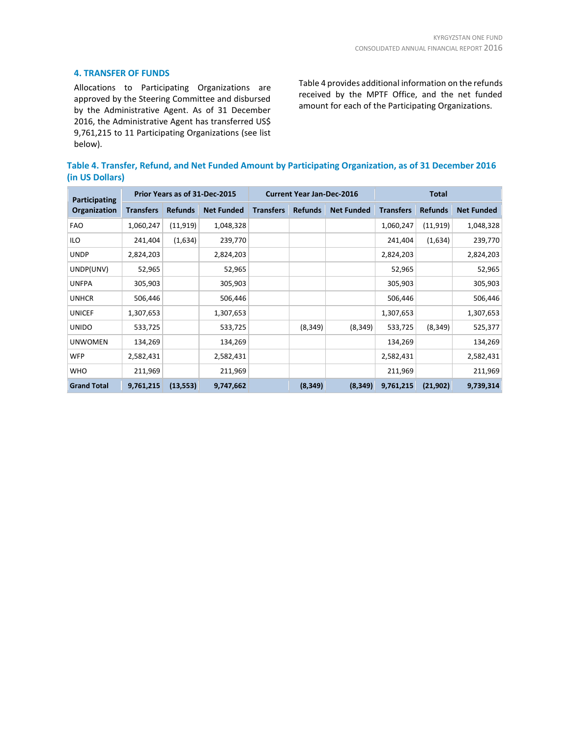#### **4. TRANSFER OF FUNDS**

Allocations to Participating Organizations are approved by the Steering Committee and disbursed by the Administrative Agent. As of 31 December 2016, the Administrative Agent has transferred US\$ 9,761,215 to 11 Participating Organizations (see list below).

Table 4 provides additional information on the refunds received by the MPTF Office, and the net funded amount for each of the Participating Organizations.

**Table 4. Transfer, Refund, and Net Funded Amount by Participating Organization, as of 31 December 2016 (in US Dollars)**

| Participating      |                  |                | Prior Years as of 31-Dec-2015 | <b>Current Year Jan-Dec-2016</b> |                |                   | <b>Total</b>     |                |                   |  |
|--------------------|------------------|----------------|-------------------------------|----------------------------------|----------------|-------------------|------------------|----------------|-------------------|--|
| Organization       | <b>Transfers</b> | <b>Refunds</b> | <b>Net Funded</b>             | <b>Transfers</b>                 | <b>Refunds</b> | <b>Net Funded</b> | <b>Transfers</b> | <b>Refunds</b> | <b>Net Funded</b> |  |
| <b>FAO</b>         | 1,060,247        | (11, 919)      | 1,048,328                     |                                  |                |                   | 1,060,247        | (11, 919)      | 1,048,328         |  |
| ILO                | 241,404          | (1,634)        | 239,770                       |                                  |                |                   | 241,404          | (1,634)        | 239,770           |  |
| <b>UNDP</b>        | 2,824,203        |                | 2,824,203                     |                                  |                |                   | 2,824,203        |                | 2,824,203         |  |
| UNDP(UNV)          | 52,965           |                | 52,965                        |                                  |                |                   | 52,965           |                | 52,965            |  |
| <b>UNFPA</b>       | 305,903          |                | 305,903                       |                                  |                |                   | 305,903          |                | 305,903           |  |
| <b>UNHCR</b>       | 506,446          |                | 506,446                       |                                  |                |                   | 506,446          |                | 506,446           |  |
| <b>UNICEF</b>      | 1,307,653        |                | 1,307,653                     |                                  |                |                   | 1,307,653        |                | 1,307,653         |  |
| <b>UNIDO</b>       | 533,725          |                | 533,725                       |                                  | (8, 349)       | (8, 349)          | 533,725          | (8, 349)       | 525,377           |  |
| <b>UNWOMEN</b>     | 134,269          |                | 134,269                       |                                  |                |                   | 134,269          |                | 134,269           |  |
| <b>WFP</b>         | 2,582,431        |                | 2,582,431                     |                                  |                |                   | 2,582,431        |                | 2,582,431         |  |
| <b>WHO</b>         | 211,969          |                | 211,969                       |                                  |                |                   | 211,969          |                | 211,969           |  |
| <b>Grand Total</b> | 9,761,215        | (13, 553)      | 9,747,662                     |                                  | (8, 349)       | (8, 349)          | 9,761,215        | (21,902)       | 9,739,314         |  |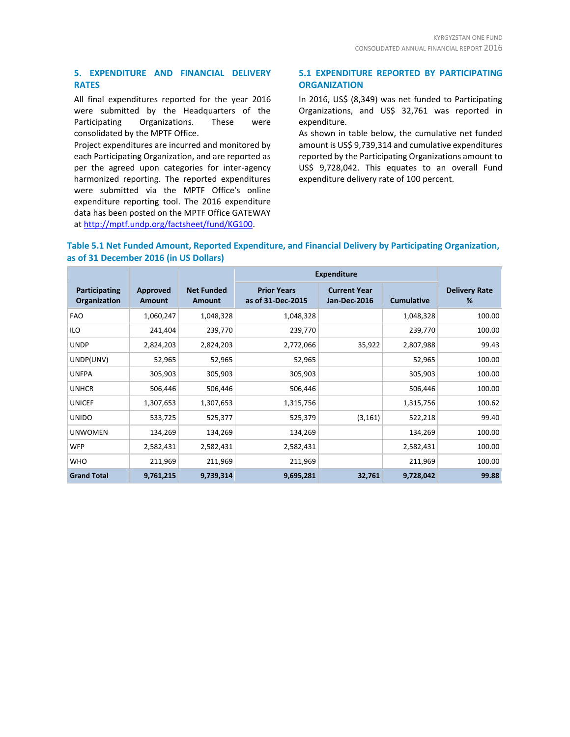#### **5. EXPENDITURE AND FINANCIAL DELIVERY RATES**

All final expenditures reported for the year 2016 were submitted by the Headquarters of the Participating Organizations. These were consolidated by the MPTF Office.

Project expenditures are incurred and monitored by each Participating Organization, and are reported as per the agreed upon categories for inter-agency harmonized reporting. The reported expenditures were submitted via the MPTF Office's online expenditure reporting tool. The 2016 expenditure data has been posted on the MPTF Office GATEWAY at [http://mptf.undp.org/factsheet/fund/KG100.](http://mptf.undp.org/factsheet/fund/KG100)

#### **5.1 EXPENDITURE REPORTED BY PARTICIPATING ORGANIZATION**

In 2016, US\$ (8,349) was net funded to Participating Organizations, and US\$ 32,761 was reported in expenditure.

As shown in table below, the cumulative net funded amount is US\$ 9,739,314 and cumulative expenditures reported by the Participating Organizations amount to US\$ 9,728,042. This equates to an overall Fund expenditure delivery rate of 100 percent.

#### **Table 5.1 Net Funded Amount, Reported Expenditure, and Financial Delivery by Participating Organization, as of 31 December 2016 (in US Dollars)**

|                               |                           |                                    | <b>Expenditure</b>                      |                                            |                   |                           |
|-------------------------------|---------------------------|------------------------------------|-----------------------------------------|--------------------------------------------|-------------------|---------------------------|
| Participating<br>Organization | Approved<br><b>Amount</b> | <b>Net Funded</b><br><b>Amount</b> | <b>Prior Years</b><br>as of 31-Dec-2015 | <b>Current Year</b><br><b>Jan-Dec-2016</b> | <b>Cumulative</b> | <b>Delivery Rate</b><br>% |
| <b>FAO</b>                    | 1,060,247                 | 1,048,328                          | 1,048,328                               |                                            | 1,048,328         | 100.00                    |
| <b>ILO</b>                    | 241,404                   | 239,770                            | 239,770                                 |                                            | 239,770           | 100.00                    |
| <b>UNDP</b>                   | 2,824,203                 | 2,824,203                          | 2,772,066                               | 35,922                                     | 2,807,988         | 99.43                     |
| UNDP(UNV)                     | 52,965                    | 52,965                             | 52,965                                  |                                            | 52,965            | 100.00                    |
| <b>UNFPA</b>                  | 305,903                   | 305,903                            | 305,903                                 |                                            | 305,903           | 100.00                    |
| <b>UNHCR</b>                  | 506,446                   | 506,446                            | 506,446                                 |                                            | 506,446           | 100.00                    |
| <b>UNICEF</b>                 | 1,307,653                 | 1,307,653                          | 1,315,756                               |                                            | 1,315,756         | 100.62                    |
| <b>UNIDO</b>                  | 533,725                   | 525,377                            | 525,379                                 | (3, 161)                                   | 522,218           | 99.40                     |
| <b>UNWOMEN</b>                | 134,269                   | 134,269                            | 134,269                                 |                                            | 134,269           | 100.00                    |
| <b>WFP</b>                    | 2,582,431                 | 2,582,431                          | 2,582,431                               |                                            | 2,582,431         | 100.00                    |
| <b>WHO</b>                    | 211,969                   | 211,969                            | 211,969                                 |                                            | 211,969           | 100.00                    |
| <b>Grand Total</b>            | 9,761,215                 | 9,739,314                          | 9,695,281                               | 32,761                                     | 9,728,042         | 99.88                     |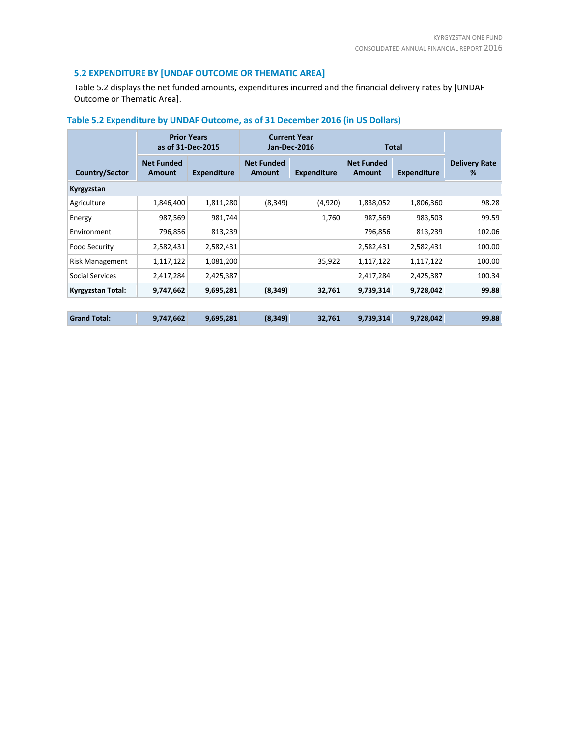#### **5.2 EXPENDITURE BY [UNDAF OUTCOME OR THEMATIC AREA]**

Table 5.2 displays the net funded amounts, expenditures incurred and the financial delivery rates by [UNDAF Outcome or Thematic Area].

|                        |                             | <b>Prior Years</b><br>as of 31-Dec-2015 | <b>Current Year</b><br><b>Jan-Dec-2016</b><br><b>Total</b> |                    |                             |                    |                           |  |
|------------------------|-----------------------------|-----------------------------------------|------------------------------------------------------------|--------------------|-----------------------------|--------------------|---------------------------|--|
| Country/Sector         | <b>Net Funded</b><br>Amount | <b>Expenditure</b>                      | <b>Net Funded</b><br><b>Amount</b>                         | <b>Expenditure</b> | <b>Net Funded</b><br>Amount | <b>Expenditure</b> | <b>Delivery Rate</b><br>% |  |
| Kyrgyzstan             |                             |                                         |                                                            |                    |                             |                    |                           |  |
| Agriculture            | 1,846,400                   | 1,811,280                               | (8, 349)                                                   | (4,920)            | 1,838,052                   | 1,806,360          | 98.28                     |  |
| Energy                 | 987,569                     | 981,744                                 |                                                            | 1,760              | 987,569                     | 983,503            | 99.59                     |  |
| Environment            | 796,856                     | 813,239                                 |                                                            |                    | 796,856                     | 813,239            | 102.06                    |  |
| Food Security          | 2,582,431                   | 2,582,431                               |                                                            |                    | 2,582,431                   | 2,582,431          | 100.00                    |  |
| <b>Risk Management</b> | 1,117,122                   | 1,081,200                               |                                                            | 35,922             | 1,117,122                   | 1,117,122          | 100.00                    |  |
| Social Services        | 2,417,284                   | 2,425,387                               |                                                            |                    | 2,417,284                   | 2,425,387          | 100.34                    |  |
| Kyrgyzstan Total:      | 9,747,662                   | 9,695,281                               | (8, 349)                                                   | 32,761             | 9,739,314                   | 9,728,042          | 99.88                     |  |
|                        |                             |                                         |                                                            |                    |                             |                    |                           |  |
| <b>Grand Total:</b>    | 9,747,662                   | 9,695,281                               | (8, 349)                                                   | 32,761             | 9,739,314                   | 9,728,042          | 99.88                     |  |

### **Table 5.2 Expenditure by UNDAF Outcome, as of 31 December 2016 (in US Dollars)**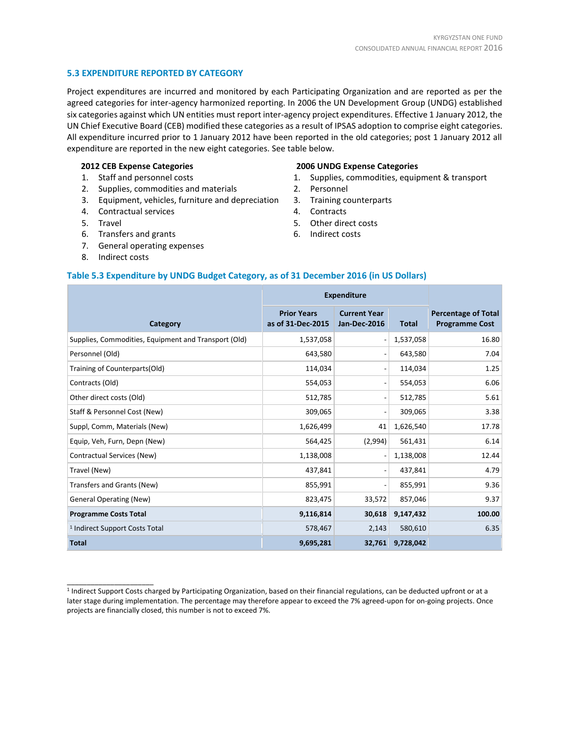#### **5.3 EXPENDITURE REPORTED BY CATEGORY**

Project expenditures are incurred and monitored by each Participating Organization and are reported as per the agreed categories for inter-agency harmonized reporting. In 2006 the UN Development Group (UNDG) established six categories against which UN entities must report inter-agency project expenditures. Effective 1 January 2012, the UN Chief Executive Board (CEB) modified these categories as a result of IPSAS adoption to comprise eight categories. All expenditure incurred prior to 1 January 2012 have been reported in the old categories; post 1 January 2012 all expenditure are reported in the new eight categories. See table below.

#### **2012 CEB Expense Categories**

- 1. Staff and personnel costs
- 2. Supplies, commodities and materials
- 3. Equipment, vehicles, furniture and depreciation
- 4. Contractual services
- 5. Travel
- 6. Transfers and grants
- 7. General operating expenses
- 8. Indirect costs

\_\_\_\_\_\_\_\_\_\_\_\_\_\_\_\_\_\_\_\_\_\_

#### **2006 UNDG Expense Categories**

- 1. Supplies, commodities, equipment & transport
- 2. Personnel
- 3. Training counterparts
- 4. Contracts
- 5. Other direct costs
- 6. Indirect costs

#### **Table 5.3 Expenditure by UNDG Budget Category, as of 31 December 2016 (in US Dollars)**

|                                                      | <b>Expenditure</b>                      |                                            |              |                                                     |
|------------------------------------------------------|-----------------------------------------|--------------------------------------------|--------------|-----------------------------------------------------|
| Category                                             | <b>Prior Years</b><br>as of 31-Dec-2015 | <b>Current Year</b><br><b>Jan-Dec-2016</b> | <b>Total</b> | <b>Percentage of Total</b><br><b>Programme Cost</b> |
| Supplies, Commodities, Equipment and Transport (Old) | 1,537,058                               | $\overline{a}$                             | 1,537,058    | 16.80                                               |
| Personnel (Old)                                      | 643,580                                 | $\overline{a}$                             | 643,580      | 7.04                                                |
| Training of Counterparts(Old)                        | 114,034                                 | $\overline{\phantom{0}}$                   | 114,034      | 1.25                                                |
| Contracts (Old)                                      | 554,053                                 | $\overline{a}$                             | 554,053      | 6.06                                                |
| Other direct costs (Old)                             | 512,785                                 | $\overline{\phantom{a}}$                   | 512,785      | 5.61                                                |
| Staff & Personnel Cost (New)                         | 309,065                                 | $\overline{\phantom{a}}$                   | 309,065      | 3.38                                                |
| Suppl, Comm, Materials (New)                         | 1,626,499                               | 41                                         | 1,626,540    | 17.78                                               |
| Equip, Veh, Furn, Depn (New)                         | 564,425                                 | (2,994)                                    | 561,431      | 6.14                                                |
| Contractual Services (New)                           | 1,138,008                               | $\overline{a}$                             | 1,138,008    | 12.44                                               |
| Travel (New)                                         | 437,841                                 | $\overline{\phantom{a}}$                   | 437,841      | 4.79                                                |
| Transfers and Grants (New)                           | 855,991                                 | $\qquad \qquad \blacksquare$               | 855,991      | 9.36                                                |
| <b>General Operating (New)</b>                       | 823,475                                 | 33,572                                     | 857,046      | 9.37                                                |
| <b>Programme Costs Total</b>                         | 9,116,814                               | 30,618                                     | 9,147,432    | 100.00                                              |
| <sup>1</sup> Indirect Support Costs Total            | 578,467                                 | 2,143                                      | 580,610      | 6.35                                                |
| <b>Total</b>                                         | 9,695,281                               | 32,761                                     | 9,728,042    |                                                     |

<sup>&</sup>lt;sup>1</sup> Indirect Support Costs charged by Participating Organization, based on their financial regulations, can be deducted upfront or at a later stage during implementation. The percentage may therefore appear to exceed the 7% agreed-upon for on-going projects. Once projects are financially closed, this number is not to exceed 7%.